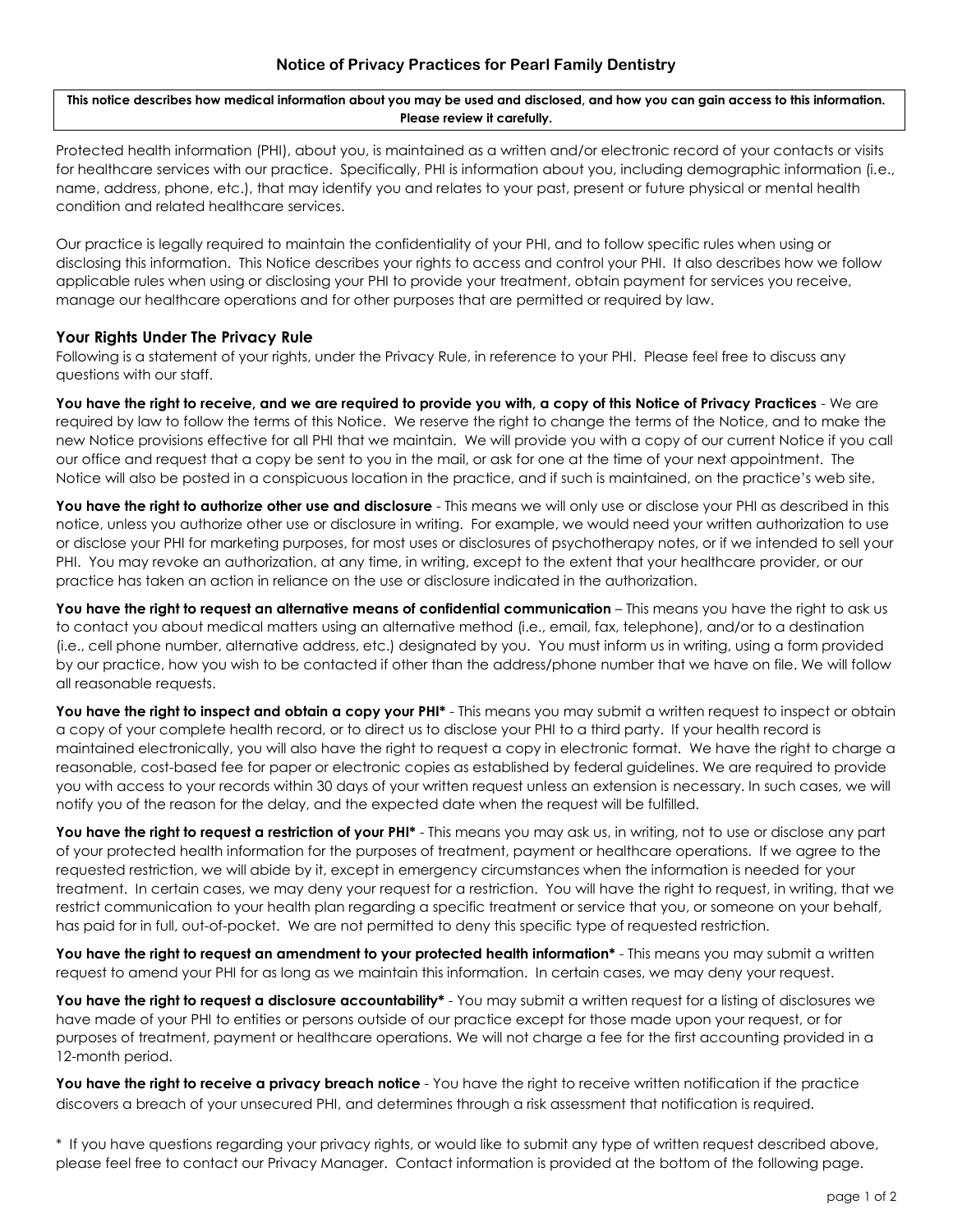**This notice describes how medical information about you may be used and disclosed, and how you can gain access to this information. Please review it carefully.**

Protected health information (PHI), about you, is maintained as a written and/or electronic record of your contacts or visits for healthcare services with our practice. Specifically, PHI is information about you, including demographic information (i.e., name, address, phone, etc.), that may identify you and relates to your past, present or future physical or mental health condition and related healthcare services.

Our practice is legally required to maintain the confidentiality of your PHI, and to follow specific rules when using or disclosing this information. This Notice describes your rights to access and control your PHI. It also describes how we follow applicable rules when using or disclosing your PHI to provide your treatment, obtain payment for services you receive, manage our healthcare operations and for other purposes that are permitted or required by law.

## **Your Rights Under The Privacy Rule**

Following is a statement of your rights, under the Privacy Rule, in reference to your PHI. Please feel free to discuss any questions with our staff.

**You have the right to receive, and we are required to provide you with, a copy of this Notice of Privacy Practices** - We are required by law to follow the terms of this Notice. We reserve the right to change the terms of the Notice, and to make the new Notice provisions effective for all PHI that we maintain. We will provide you with a copy of our current Notice if you call our office and request that a copy be sent to you in the mail, or ask for one at the time of your next appointment. The Notice will also be posted in a conspicuous location in the practice, and if such is maintained, on the practice's web site.

You have the right to authorize other use and disclosure - This means we will only use or disclose your PHI as described in this notice, unless you authorize other use or disclosure in writing. For example, we would need your written authorization to use or disclose your PHI for marketing purposes, for most uses or disclosures of psychotherapy notes, or if we intended to sell your PHI. You may revoke an authorization, at any time, in writing, except to the extent that your healthcare provider, or our practice has taken an action in reliance on the use or disclosure indicated in the authorization.

**You have the right to request an alternative means of confidential communication** – This means you have the right to ask us to contact you about medical matters using an alternative method (i.e., email, fax, telephone), and/or to a destination (i.e., cell phone number, alternative address, etc.) designated by you. You must inform us in writing, using a form provided by our practice, how you wish to be contacted if other than the address/phone number that we have on file. We will follow all reasonable requests.

You have the right to inspect and obtain a copy your PHI<sup>\*</sup> - This means you may submit a written request to inspect or obtain a copy of your complete health record, or to direct us to disclose your PHI to a third party. If your health record is maintained electronically, you will also have the right to request a copy in electronic format. We have the right to charge a reasonable, cost-based fee for paper or electronic copies as established by federal guidelines. We are required to provide you with access to your records within 30 days of your written request unless an extension is necessary. In such cases, we will notify you of the reason for the delay, and the expected date when the request will be fulfilled.

You have the right to request a restriction of your PHI<sup>\*</sup> - This means you may ask us, in writing, not to use or disclose any part of your protected health information for the purposes of treatment, payment or healthcare operations. If we agree to the requested restriction, we will abide by it, except in emergency circumstances when the information is needed for your treatment. In certain cases, we may deny your request for a restriction. You will have the right to request, in writing, that we restrict communication to your health plan regarding a specific treatment or service that you, or someone on your behalf, has paid for in full, out-of-pocket. We are not permitted to deny this specific type of requested restriction.

**You have the right to request an amendment to your protected health information\*** - This means you may submit a written request to amend your PHI for as long as we maintain this information. In certain cases, we may deny your request.

You have the right to request a disclosure accountability\* - You may submit a written request for a listing of disclosures we have made of your PHI to entities or persons outside of our practice except for those made upon your request, or for purposes of treatment, payment or healthcare operations. We will not charge a fee for the first accounting provided in a 12-month period.

**You have the right to receive a privacy breach notice** - You have the right to receive written notification if the practice discovers a breach of your unsecured PHI, and determines through a risk assessment that notification is required.

\* If you have questions regarding your privacy rights, or would like to submit any type of written request described above, please feel free to contact our Privacy Manager. Contact information is provided at the bottom of the following page.